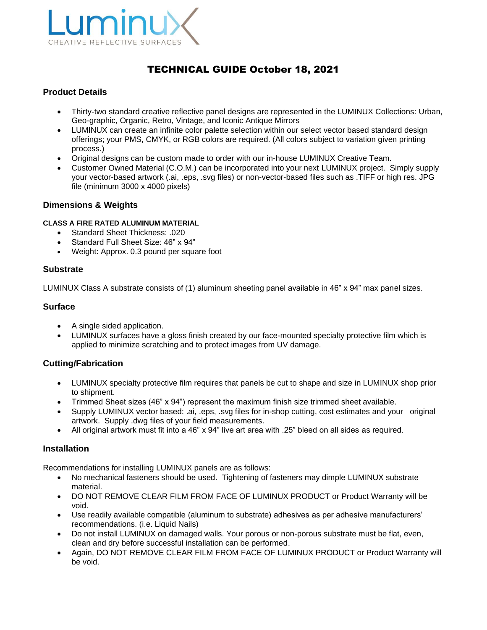

# TECHNICAL GUIDE October 18, 2021

# **Product Details**

- Thirty-two standard creative reflective panel designs are represented in the LUMINUX Collections: Urban, Geo-graphic, Organic, Retro, Vintage, and Iconic Antique Mirrors
- LUMINUX can create an infinite color palette selection within our select vector based standard design offerings; your PMS, CMYK, or RGB colors are required. (All colors subject to variation given printing process.)
- Original designs can be custom made to order with our in-house LUMINUX Creative Team.
- Customer Owned Material (C.O.M.) can be incorporated into your next LUMINUX project. Simply supply your vector-based artwork (.ai, .eps, .svg files) or non-vector-based files such as .TIFF or high res. JPG file (minimum 3000 x 4000 pixels)

# **Dimensions & Weights**

#### **CLASS A FIRE RATED ALUMINUM MATERIAL**

- Standard Sheet Thickness: .020
- Standard Full Sheet Size: 46" x 94"
- Weight: Approx. 0.3 pound per square foot

#### **Substrate**

LUMINUX Class A substrate consists of (1) aluminum sheeting panel available in 46" x 94" max panel sizes.

# **Surface**

- A single sided application.
- LUMINUX surfaces have a gloss finish created by our face-mounted specialty protective film which is applied to minimize scratching and to protect images from UV damage.

# **Cutting/Fabrication**

- LUMINUX specialty protective film requires that panels be cut to shape and size in LUMINUX shop prior to shipment.
- Trimmed Sheet sizes (46" x 94") represent the maximum finish size trimmed sheet available.
- Supply LUMINUX vector based: .ai, .eps, .svg files for in-shop cutting, cost estimates and your original artwork. Supply .dwg files of your field measurements.
- All original artwork must fit into a 46" x 94" live art area with .25" bleed on all sides as required.

#### **Installation**

Recommendations for installing LUMINUX panels are as follows:

- No mechanical fasteners should be used. Tightening of fasteners may dimple LUMINUX substrate material.
- DO NOT REMOVE CLEAR FILM FROM FACE OF LUMINUX PRODUCT or Product Warranty will be void.
- Use readily available compatible (aluminum to substrate) adhesives as per adhesive manufacturers' recommendations. (i.e. Liquid Nails)
- Do not install LUMINUX on damaged walls. Your porous or non-porous substrate must be flat, even, clean and dry before successful installation can be performed.
- Again, DO NOT REMOVE CLEAR FILM FROM FACE OF LUMINUX PRODUCT or Product Warranty will be void.